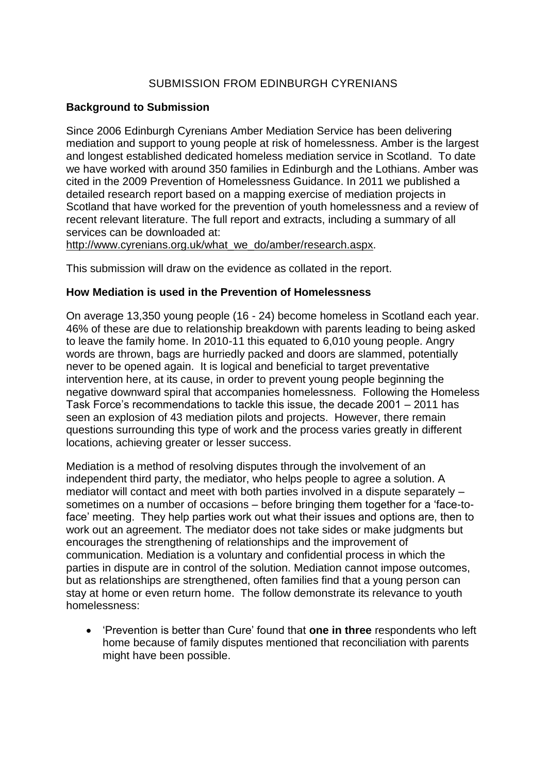# SUBMISSION FROM EDINBURGH CYRENIANS

### **Background to Submission**

Since 2006 Edinburgh Cyrenians Amber Mediation Service has been delivering mediation and support to young people at risk of homelessness. Amber is the largest and longest established dedicated homeless mediation service in Scotland. To date we have worked with around 350 families in Edinburgh and the Lothians. Amber was cited in the 2009 Prevention of Homelessness Guidance. In 2011 we published a detailed research report based on a mapping exercise of mediation projects in Scotland that have worked for the prevention of youth homelessness and a review of recent relevant literature. The full report and extracts, including a summary of all services can be downloaded at:

[http://www.cyrenians.org.uk/what\\_we\\_do/amber/research.aspx.](http://www.cyrenians.org.uk/what_we_do/amber/research.aspx)

This submission will draw on the evidence as collated in the report.

#### **How Mediation is used in the Prevention of Homelessness**

On average 13,350 young people (16 - 24) become homeless in Scotland each year. 46% of these are due to relationship breakdown with parents leading to being asked to leave the family home. In 2010-11 this equated to 6,010 young people. Angry words are thrown, bags are hurriedly packed and doors are slammed, potentially never to be opened again. It is logical and beneficial to target preventative intervention here, at its cause, in order to prevent young people beginning the negative downward spiral that accompanies homelessness. Following the Homeless Task Force"s recommendations to tackle this issue, the decade 2001 – 2011 has seen an explosion of 43 mediation pilots and projects. However, there remain questions surrounding this type of work and the process varies greatly in different locations, achieving greater or lesser success.

Mediation is a method of resolving disputes through the involvement of an independent third party, the mediator, who helps people to agree a solution. A mediator will contact and meet with both parties involved in a dispute separately – sometimes on a number of occasions – before bringing them together for a "face-toface" meeting. They help parties work out what their issues and options are, then to work out an agreement. The mediator does not take sides or make judgments but encourages the strengthening of relationships and the improvement of communication. Mediation is a voluntary and confidential process in which the parties in dispute are in control of the solution. Mediation cannot impose outcomes, but as relationships are strengthened, often families find that a young person can stay at home or even return home. The follow demonstrate its relevance to youth homelessness:

 "Prevention is better than Cure" found that **one in three** respondents who left home because of family disputes mentioned that reconciliation with parents might have been possible.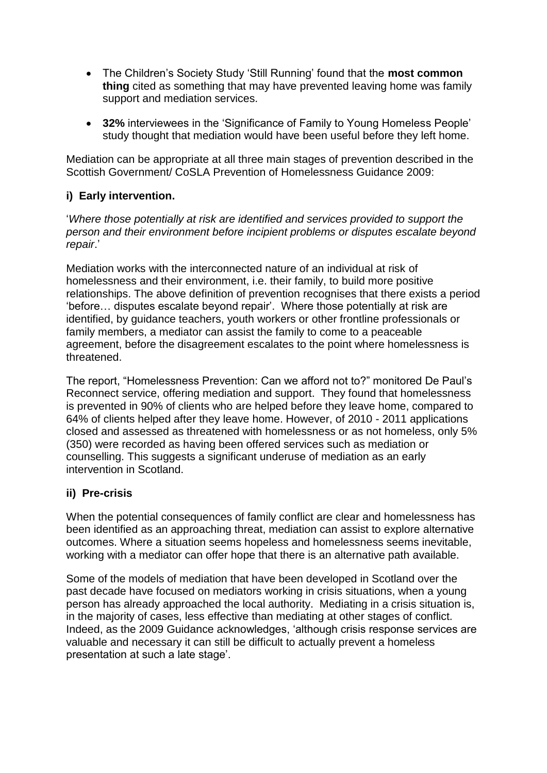- The Children"s Society Study "Still Running" found that the **most common thing** cited as something that may have prevented leaving home was family support and mediation services.
- **32%** interviewees in the "Significance of Family to Young Homeless People" study thought that mediation would have been useful before they left home.

Mediation can be appropriate at all three main stages of prevention described in the Scottish Government/ CoSLA Prevention of Homelessness Guidance 2009:

# **i) Early intervention.**

"*Where those potentially at risk are identified and services provided to support the person and their environment before incipient problems or disputes escalate beyond repair*."

Mediation works with the interconnected nature of an individual at risk of homelessness and their environment, i.e. their family, to build more positive relationships. The above definition of prevention recognises that there exists a period "before… disputes escalate beyond repair". Where those potentially at risk are identified, by guidance teachers, youth workers or other frontline professionals or family members, a mediator can assist the family to come to a peaceable agreement, before the disagreement escalates to the point where homelessness is threatened.

The report, "Homelessness Prevention: Can we afford not to?" monitored De Paul"s Reconnect service, offering mediation and support. They found that homelessness is prevented in 90% of clients who are helped before they leave home, compared to 64% of clients helped after they leave home. However, of 2010 - 2011 applications closed and assessed as threatened with homelessness or as not homeless, only 5% (350) were recorded as having been offered services such as mediation or counselling. This suggests a significant underuse of mediation as an early intervention in Scotland.

# **ii) Pre-crisis**

When the potential consequences of family conflict are clear and homelessness has been identified as an approaching threat, mediation can assist to explore alternative outcomes. Where a situation seems hopeless and homelessness seems inevitable, working with a mediator can offer hope that there is an alternative path available.

Some of the models of mediation that have been developed in Scotland over the past decade have focused on mediators working in crisis situations, when a young person has already approached the local authority. Mediating in a crisis situation is, in the majority of cases, less effective than mediating at other stages of conflict. Indeed, as the 2009 Guidance acknowledges, "although crisis response services are valuable and necessary it can still be difficult to actually prevent a homeless presentation at such a late stage".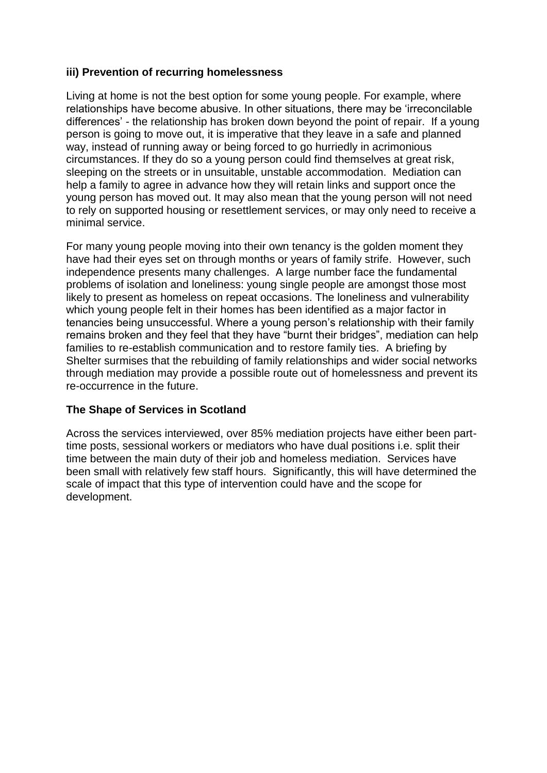## **iii) Prevention of recurring homelessness**

Living at home is not the best option for some young people. For example, where relationships have become abusive. In other situations, there may be "irreconcilable differences" - the relationship has broken down beyond the point of repair. If a young person is going to move out, it is imperative that they leave in a safe and planned way, instead of running away or being forced to go hurriedly in acrimonious circumstances. If they do so a young person could find themselves at great risk, sleeping on the streets or in unsuitable, unstable accommodation. Mediation can help a family to agree in advance how they will retain links and support once the young person has moved out. It may also mean that the young person will not need to rely on supported housing or resettlement services, or may only need to receive a minimal service.

For many young people moving into their own tenancy is the golden moment they have had their eyes set on through months or years of family strife. However, such independence presents many challenges. A large number face the fundamental problems of isolation and loneliness: young single people are amongst those most likely to present as homeless on repeat occasions. The loneliness and vulnerability which young people felt in their homes has been identified as a major factor in tenancies being unsuccessful. Where a young person's relationship with their family remains broken and they feel that they have "burnt their bridges", mediation can help families to re-establish communication and to restore family ties. A briefing by Shelter surmises that the rebuilding of family relationships and wider social networks through mediation may provide a possible route out of homelessness and prevent its re-occurrence in the future.

## **The Shape of Services in Scotland**

Across the services interviewed, over 85% mediation projects have either been parttime posts, sessional workers or mediators who have dual positions i.e. split their time between the main duty of their job and homeless mediation. Services have been small with relatively few staff hours. Significantly, this will have determined the scale of impact that this type of intervention could have and the scope for development.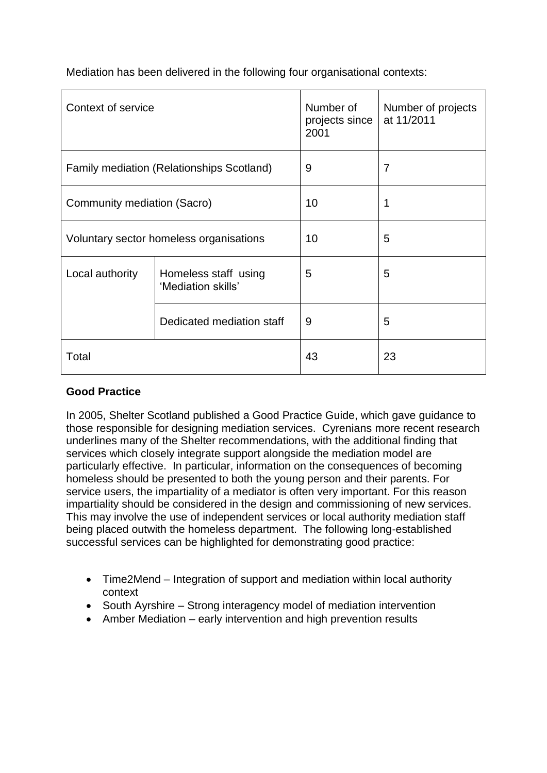Mediation has been delivered in the following four organisational contexts:

| Context of service                               |                                            | Number of<br>projects since<br>2001 | Number of projects<br>at 11/2011 |
|--------------------------------------------------|--------------------------------------------|-------------------------------------|----------------------------------|
| <b>Family mediation (Relationships Scotland)</b> |                                            | 9                                   | 7                                |
| Community mediation (Sacro)                      |                                            | 10                                  | 1                                |
| Voluntary sector homeless organisations          |                                            | 10                                  | 5                                |
| Local authority                                  | Homeless staff using<br>'Mediation skills' | 5                                   | 5                                |
|                                                  | Dedicated mediation staff                  | 9                                   | 5                                |
| Total                                            |                                            | 43                                  | 23                               |

# **Good Practice**

In 2005, Shelter Scotland published a Good Practice Guide, which gave guidance to those responsible for designing mediation services. Cyrenians more recent research underlines many of the Shelter recommendations, with the additional finding that services which closely integrate support alongside the mediation model are particularly effective. In particular, information on the consequences of becoming homeless should be presented to both the young person and their parents. For service users, the impartiality of a mediator is often very important. For this reason impartiality should be considered in the design and commissioning of new services. This may involve the use of independent services or local authority mediation staff being placed outwith the homeless department. The following long-established successful services can be highlighted for demonstrating good practice:

- Time2Mend Integration of support and mediation within local authority context
- South Ayrshire Strong interagency model of mediation intervention
- Amber Mediation early intervention and high prevention results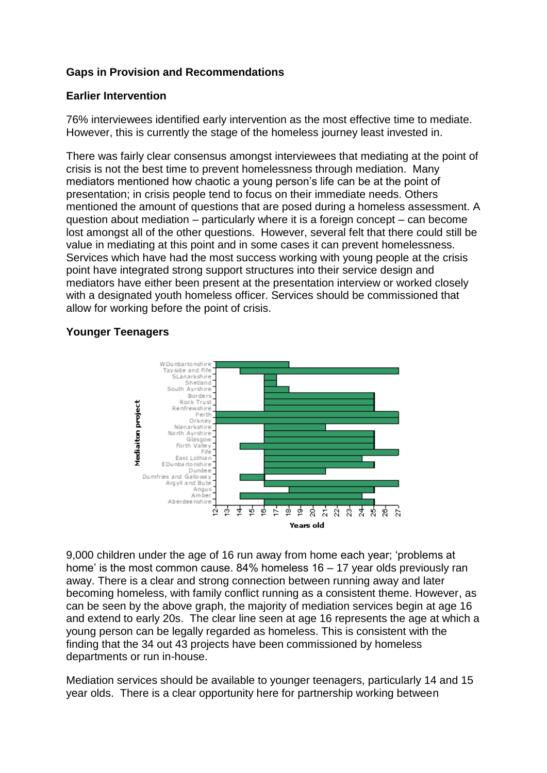## **Gaps in Provision and Recommendations**

#### **Earlier Intervention**

76% interviewees identified early intervention as the most effective time to mediate. However, this is currently the stage of the homeless journey least invested in.

There was fairly clear consensus amongst interviewees that mediating at the point of crisis is not the best time to prevent homelessness through mediation. Many mediators mentioned how chaotic a young person's life can be at the point of presentation; in crisis people tend to focus on their immediate needs. Others mentioned the amount of questions that are posed during a homeless assessment. A question about mediation – particularly where it is a foreign concept – can become lost amongst all of the other questions. However, several felt that there could still be value in mediating at this point and in some cases it can prevent homelessness. Services which have had the most success working with young people at the crisis point have integrated strong support structures into their service design and mediators have either been present at the presentation interview or worked closely with a designated youth homeless officer. Services should be commissioned that allow for working before the point of crisis.

#### **Younger Teenagers**



9,000 children under the age of 16 run away from home each year; "problems at home' is the most common cause. 84% homeless 16 – 17 year olds previously ran away. There is a clear and strong connection between running away and later becoming homeless, with family conflict running as a consistent theme. However, as can be seen by the above graph, the majority of mediation services begin at age 16 and extend to early 20s. The clear line seen at age 16 represents the age at which a young person can be legally regarded as homeless. This is consistent with the finding that the 34 out 43 projects have been commissioned by homeless departments or run in-house.

Mediation services should be available to younger teenagers, particularly 14 and 15 year olds. There is a clear opportunity here for partnership working between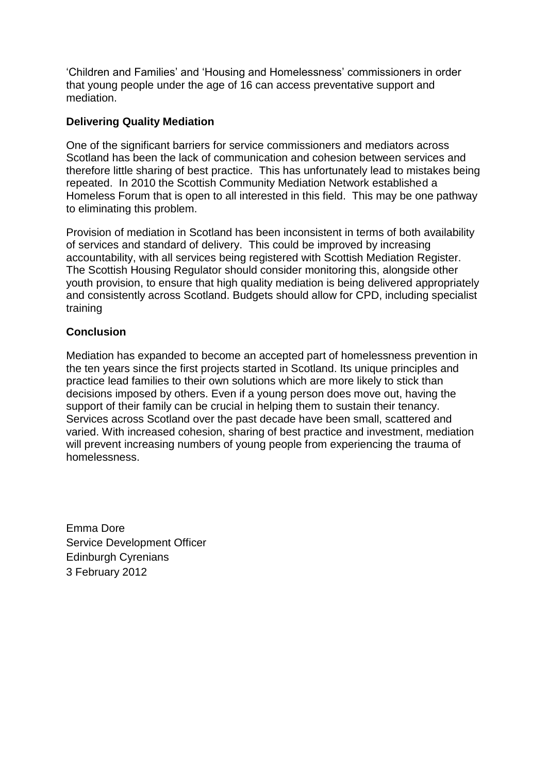"Children and Families" and "Housing and Homelessness" commissioners in order that young people under the age of 16 can access preventative support and mediation.

## **Delivering Quality Mediation**

One of the significant barriers for service commissioners and mediators across Scotland has been the lack of communication and cohesion between services and therefore little sharing of best practice. This has unfortunately lead to mistakes being repeated. In 2010 the Scottish Community Mediation Network established a Homeless Forum that is open to all interested in this field. This may be one pathway to eliminating this problem.

Provision of mediation in Scotland has been inconsistent in terms of both availability of services and standard of delivery. This could be improved by increasing accountability, with all services being registered with Scottish Mediation Register. The Scottish Housing Regulator should consider monitoring this, alongside other youth provision, to ensure that high quality mediation is being delivered appropriately and consistently across Scotland. Budgets should allow for CPD, including specialist training

## **Conclusion**

Mediation has expanded to become an accepted part of homelessness prevention in the ten years since the first projects started in Scotland. Its unique principles and practice lead families to their own solutions which are more likely to stick than decisions imposed by others. Even if a young person does move out, having the support of their family can be crucial in helping them to sustain their tenancy. Services across Scotland over the past decade have been small, scattered and varied. With increased cohesion, sharing of best practice and investment, mediation will prevent increasing numbers of young people from experiencing the trauma of homelessness.

Emma Dore Service Development Officer Edinburgh Cyrenians 3 February 2012